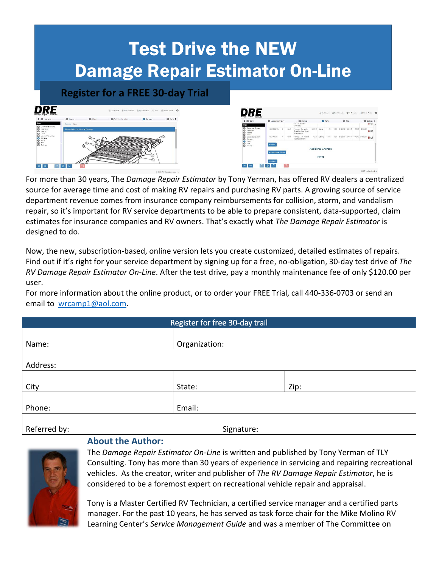## Test Drive the NEW Damage Repair Estimator On-Line



| $4.0$ GHz                                                         | @ Voyale Information               |            |      | @ Camego                                                  |                    |               | <b>Ca</b> Parts |      | <b>Q</b> Fits                 | a               | Sottings >             |
|-------------------------------------------------------------------|------------------------------------|------------|------|-----------------------------------------------------------|--------------------|---------------|-----------------|------|-------------------------------|-----------------|------------------------|
| Scops:                                                            |                                    |            |      | <b>IN AIN GOLD OF</b><br>completed                        |                    |               |                 |      |                               |                 | <b>u</b> us            |
| Cwinchand Filtonco<br>ō<br>Insurance<br>ō<br>Incline<br>ā<br>Cain | DRE4 012.7A                        | $\epsilon$ | Roof | Antonio Complete<br>Crank Up Wing Style -<br>Non-EVasared | 5150.09            | 0.951         | 1.08            | 5.00 | \$125.00 \$125.00             | \$0.00 \$120.00 | ūØ.                    |
| ۵<br>Variable Incompany:<br>8<br>Damage<br>Parte                  | Did: 4-45-25                       | ×          | NYW1 | Melone - Flat dicessel<br>insert and finishing            |                    | \$2.25 /24410 | 0.18.           | 7.20 | \$125.00 SHEED STREET STREETS |                 | $\overline{u} \propto$ |
| ō<br>Fire<br>ŏ<br>Sellege                                         | Add that<br>Acht Aubilional Chesse |            |      |                                                           | Additional Charges |               |                 |      |                               |                 |                        |
|                                                                   |                                    |            |      |                                                           |                    | Notes         |                 |      |                               |                 |                        |

For more than 30 years, The *Damage Repair Estimator* by Tony Yerman, has offered RV dealers a centralized source for average time and cost of making RV repairs and purchasing RV parts. A growing source of service department revenue comes from insurance company reimbursements for collision, storm, and vandalism repair, so it's important for RV service departments to be able to prepare consistent, data-supported, claim estimates for insurance companies and RV owners. That's exactly what *The Damage Repair Estimator* is designed to do.

Now, the new, subscription-based, online version lets you create customized, detailed estimates of repairs. Find out if it's right for your service department by signing up for a free, no-obligation, 30‐day test drive of *The RV Damage Repair Estimator On‐Line*. After the test drive, pay a monthly maintenance fee of only \$120.00 per user.

For more information about the online product, or to order your FREE Trial, call 440-336-0703 or send an email to [wrcamp1@aol.com.](file:///C:/Users/Tony/Documents/DREstimation/wrcamp1@aol.com)

| Register for free 30-day trail |               |      |  |  |  |  |  |  |
|--------------------------------|---------------|------|--|--|--|--|--|--|
|                                |               |      |  |  |  |  |  |  |
| Name:                          | Organization: |      |  |  |  |  |  |  |
|                                |               |      |  |  |  |  |  |  |
| Address:                       |               |      |  |  |  |  |  |  |
|                                |               |      |  |  |  |  |  |  |
| City                           | State:        | Zip: |  |  |  |  |  |  |
|                                |               |      |  |  |  |  |  |  |
| Phone:                         | Email:        |      |  |  |  |  |  |  |
|                                |               |      |  |  |  |  |  |  |
| Referred by:                   | Signature:    |      |  |  |  |  |  |  |



The *Damage Repair Estimator On-Line* is written and published by Tony Yerman of TLY Consulting. Tony has more than 30 years of experience in servicing and repairing recreational vehicles. As the creator, writer and publisher of *The RV Damage Repair Estimator*, he is considered to be a foremost expert on recreational vehicle repair and appraisal.

Tony is a Master Certified RV Technician, a certified service manager and a certified parts manager. For the past 10 years, he has served as task force chair for the Mike Molino RV Learning Center's *Service Management Guide* and was a member of The Committee on